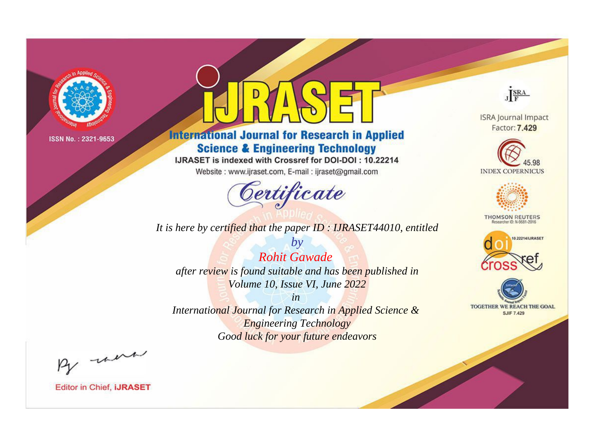

## **International Journal for Research in Applied Science & Engineering Technology**

IJRASET is indexed with Crossref for DOI-DOI: 10.22214

Website: www.ijraset.com, E-mail: ijraset@gmail.com

# Certificate

JERA

**ISRA Journal Impact** Factor: 7.429





**THOMSON REUTERS** 



TOGETHER WE REACH THE GOAL **SJIF 7.429** 

*It is here by certified that the paper ID : IJRASET44010, entitled*

*by Rohit Gawade after review is found suitable and has been published in Volume 10, Issue VI, June 2022*

*in* 

*International Journal for Research in Applied Science & Engineering Technology Good luck for your future endeavors*

By now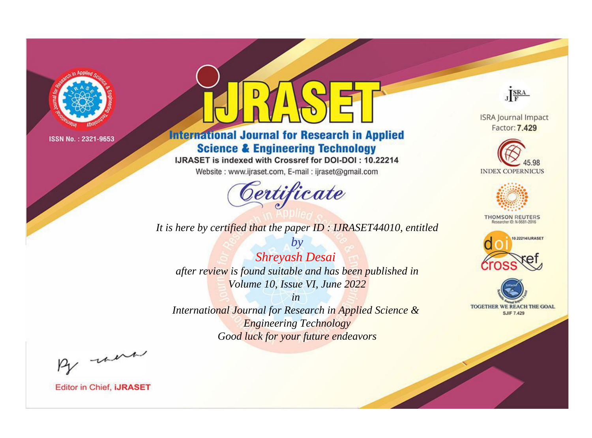

## **International Journal for Research in Applied Science & Engineering Technology**

IJRASET is indexed with Crossref for DOI-DOI: 10.22214

Website: www.ijraset.com, E-mail: ijraset@gmail.com

# Certificate

JERA

**ISRA Journal Impact** Factor: 7.429





**THOMSON REUTERS** 





*It is here by certified that the paper ID : IJRASET44010, entitled*

*by Shreyash Desai after review is found suitable and has been published in Volume 10, Issue VI, June 2022*

*in* 

*International Journal for Research in Applied Science & Engineering Technology Good luck for your future endeavors*

By now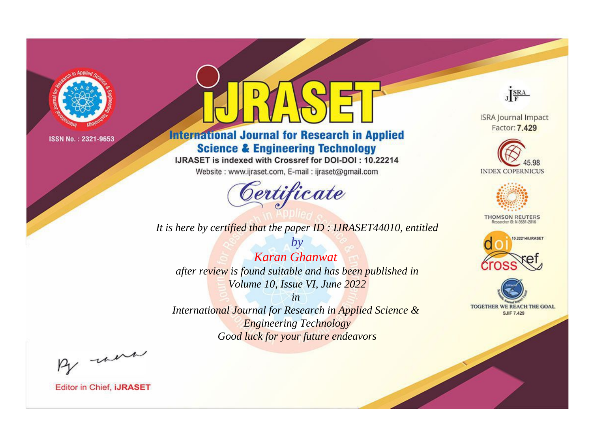

## **International Journal for Research in Applied Science & Engineering Technology**

IJRASET is indexed with Crossref for DOI-DOI: 10.22214

Website: www.ijraset.com, E-mail: ijraset@gmail.com

## Certificate

JERA

**ISRA Journal Impact** Factor: 7.429





**THOMSON REUTERS** 



TOGETHER WE REACH THE GOAL **SJIF 7.429** 

*It is here by certified that the paper ID : IJRASET44010, entitled*

*by Karan Ghanwat after review is found suitable and has been published in Volume 10, Issue VI, June 2022*

*in* 

*International Journal for Research in Applied Science & Engineering Technology Good luck for your future endeavors*

By now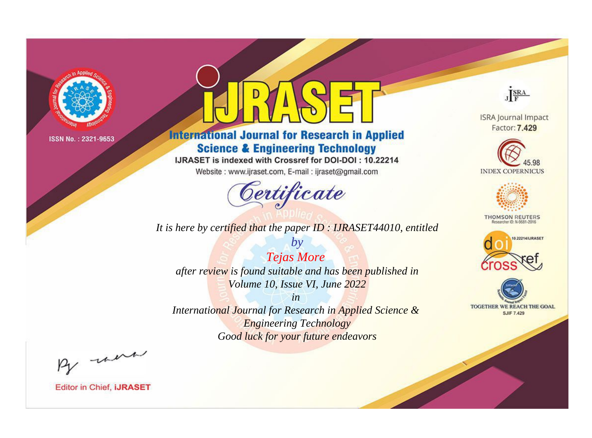

## **International Journal for Research in Applied Science & Engineering Technology**

IJRASET is indexed with Crossref for DOI-DOI: 10.22214

Website: www.ijraset.com, E-mail: ijraset@gmail.com

## Certificate

JERA

**ISRA Journal Impact** Factor: 7.429





**THOMSON REUTERS** 



TOGETHER WE REACH THE GOAL **SJIF 7.429** 

It is here by certified that the paper ID: IJRASET44010, entitled

**Tejas More** after review is found suitable and has been published in Volume 10, Issue VI, June 2022

 $by$ 

 $in$ International Journal for Research in Applied Science & **Engineering Technology** Good luck for your future endeavors

By morn